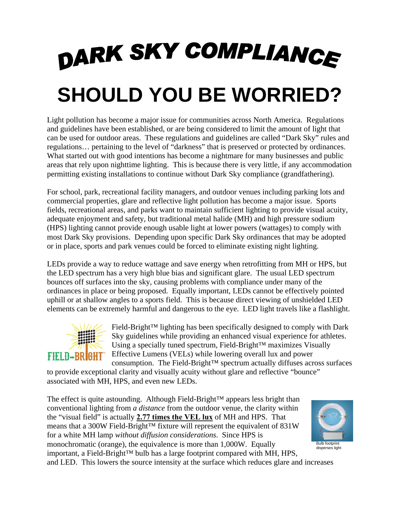## DARK SKY COMPLIANCE **SHOULD YOU BE WORRIED?**

Light pollution has become a major issue for communities across North America. Regulations and guidelines have been established, or are being considered to limit the amount of light that can be used for outdoor areas. These regulations and guidelines are called "Dark Sky" rules and regulations… pertaining to the level of "darkness" that is preserved or protected by ordinances. What started out with good intentions has become a nightmare for many businesses and public areas that rely upon nighttime lighting. This is because there is very little, if any accommodation permitting existing installations to continue without Dark Sky compliance (grandfathering).

For school, park, recreational facility managers, and outdoor venues including parking lots and commercial properties, glare and reflective light pollution has become a major issue. Sports fields, recreational areas, and parks want to maintain sufficient lighting to provide visual acuity, adequate enjoyment and safety, but traditional metal halide (MH) and high pressure sodium (HPS) lighting cannot provide enough usable light at lower powers (wattages) to comply with most Dark Sky provisions. Depending upon specific Dark Sky ordinances that may be adopted or in place, sports and park venues could be forced to eliminate existing night lighting.

LEDs provide a way to reduce wattage and save energy when retrofitting from MH or HPS, but the LED spectrum has a very high blue bias and significant glare. The usual LED spectrum bounces off surfaces into the sky, causing problems with compliance under many of the ordinances in place or being proposed. Equally important, LEDs cannot be effectively pointed uphill or at shallow angles to a sports field. This is because direct viewing of unshielded LED elements can be extremely harmful and dangerous to the eye. LED light travels like a flashlight.



Field-Bright™ lighting has been specifically designed to comply with Dark Sky guidelines while providing an enhanced visual experience for athletes. Using a specially tuned spectrum, Field-Bright™ maximizes Visually Effective Lumens (VELs) while lowering overall lux and power consumption. The Field-Bright™ spectrum actually diffuses across surfaces

to provide exceptional clarity and visually acuity without glare and reflective "bounce" associated with MH, HPS, and even new LEDs.

The effect is quite astounding. Although Field-Bright™ appears less bright than conventional lighting from *a distance* from the outdoor venue, the clarity within the "visual field" is actually **2.77 times the VEL lux** of MH and HPS. That means that a 300W Field-Bright™ fixture will represent the equivalent of 831W for a white MH lamp *without diffusion considerations*. Since HPS is monochromatic (orange), the equivalence is more than 1,000W. Equally important, a Field-Bright™ bulb has a large footprint compared with MH, HPS,



and LED. This lowers the source intensity at the surface which reduces glare and increases